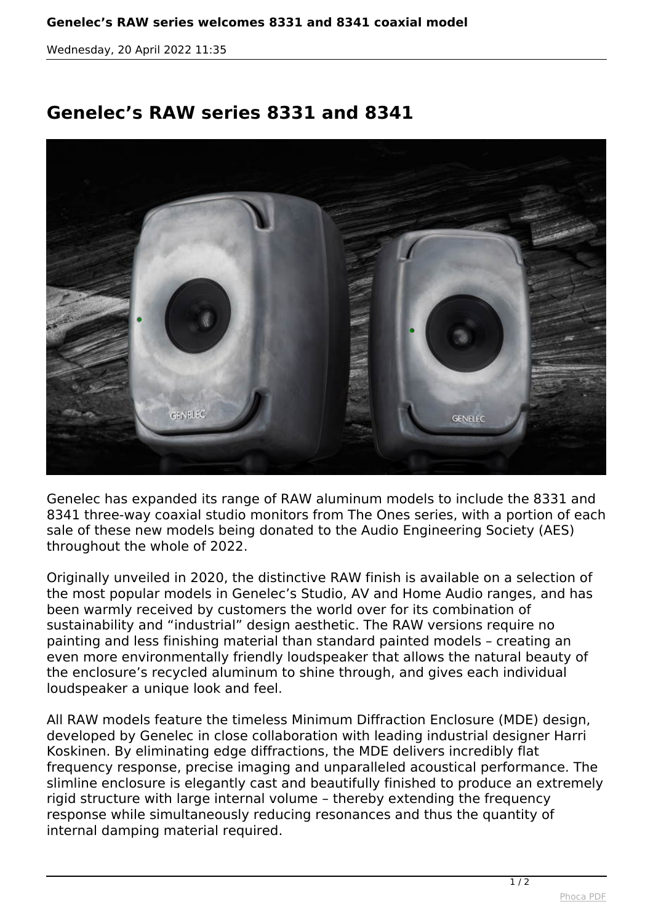*Wednesday, 20 April 2022 11:35*

## **Genelec's RAW series 8331 and 8341**



*Genelec has expanded its range of RAW aluminum models to include the 8331 and 8341 three-way coaxial studio monitors from The Ones series, with a portion of each sale of these new models being donated to the Audio Engineering Society (AES) throughout the whole of 2022.* 

*Originally unveiled in 2020, the distinctive RAW finish is available on a selection of the most popular models in Genelec's Studio, AV and Home Audio ranges, and has been warmly received by customers the world over for its combination of sustainability and "industrial" design aesthetic. The RAW versions require no painting and less finishing material than standard painted models – creating an even more environmentally friendly loudspeaker that allows the natural beauty of the enclosure's recycled aluminum to shine through, and gives each individual loudspeaker a unique look and feel.* 

*All RAW models feature the timeless Minimum Diffraction Enclosure (MDE) design, developed by Genelec in close collaboration with leading industrial designer Harri Koskinen. By eliminating edge diffractions, the MDE delivers incredibly flat frequency response, precise imaging and unparalleled acoustical performance. The slimline enclosure is elegantly cast and beautifully finished to produce an extremely rigid structure with large internal volume – thereby extending the frequency response while simultaneously reducing resonances and thus the quantity of internal damping material required.*